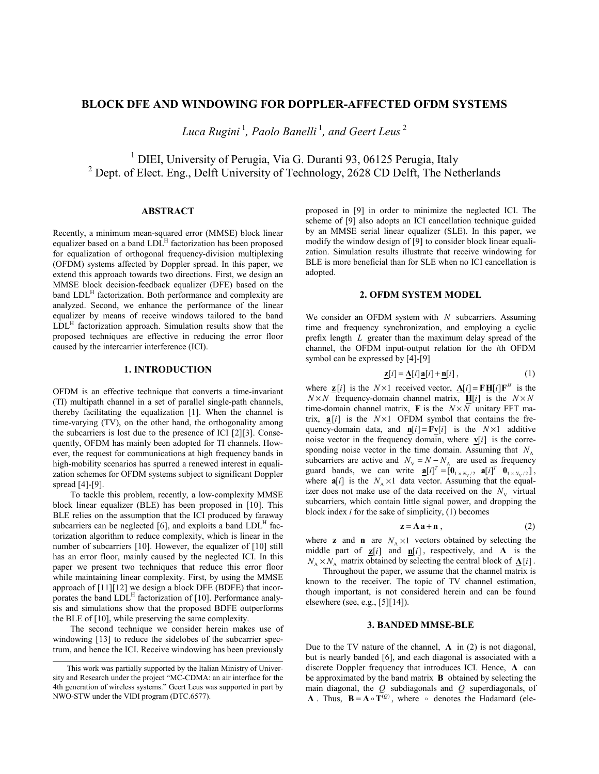# **BLOCK DFE AND WINDOWING FOR DOPPLER-AFFECTED OFDM SYSTEMS**

*Luca Rugini*<sup>1</sup>, *Paolo Banelli*<sup>1</sup>, *and Geert Leus*<sup>2</sup>

<sup>1</sup> DIEI, University of Perugia, Via G. Duranti 93, 06125 Perugia, Italy <sup>2</sup> Dept. of Elect. Eng., Delft University of Technology, 2628 CD Delft, The Netherlands

## **ABSTRACT**

Recently, a minimum mean-squared error (MMSE) block linear equalizer based on a band  $LDL<sup>H</sup>$  factorization has been proposed for equalization of orthogonal frequency-division multiplexing (OFDM) systems affected by Doppler spread. In this paper, we extend this approach towards two directions. First, we design an MMSE block decision-feedback equalizer (DFE) based on the band LDL<sup>H</sup> factorization. Both performance and complexity are analyzed. Second, we enhance the performance of the linear equalizer by means of receive windows tailored to the band  $LDL<sup>H</sup>$  factorization approach. Simulation results show that the proposed techniques are effective in reducing the error floor caused by the intercarrier interference (ICI).

## **1. INTRODUCTION**

OFDM is an effective technique that converts a time-invariant (TI) multipath channel in a set of parallel single-path channels, thereby facilitating the equalization [1]. When the channel is time-varying (TV), on the other hand, the orthogonality among the subcarriers is lost due to the presence of ICI [2][3]. Consequently, OFDM has mainly been adopted for TI channels. However, the request for communications at high frequency bands in high-mobility scenarios has spurred a renewed interest in equalization schemes for OFDM systems subject to significant Doppler spread [4]-[9].

To tackle this problem, recently, a low-complexity MMSE block linear equalizer (BLE) has been proposed in [10]. This BLE relies on the assumption that the ICI produced by faraway subcarriers can be neglected  $[6]$ , and exploits a band  $LDL<sup>H</sup>$  factorization algorithm to reduce complexity, which is linear in the number of subcarriers [10]. However, the equalizer of [10] still has an error floor, mainly caused by the neglected ICI. In this paper we present two techniques that reduce this error floor while maintaining linear complexity. First, by using the MMSE approach of [11][12] we design a block DFE (BDFE) that incorporates the band  $LDL<sup>H</sup>$  factorization of [10]. Performance analysis and simulations show that the proposed BDFE outperforms the BLE of [10], while preserving the same complexity.

The second technique we consider herein makes use of windowing [13] to reduce the sidelobes of the subcarrier spectrum, and hence the ICI. Receive windowing has been previously

proposed in [9] in order to minimize the neglected ICI. The scheme of [9] also adopts an ICI cancellation technique guided by an MMSE serial linear equalizer (SLE). In this paper, we modify the window design of [9] to consider block linear equalization. Simulation results illustrate that receive windowing for BLE is more beneficial than for SLE when no ICI cancellation is adopted.

## **2. OFDM SYSTEM MODEL**

We consider an OFDM system with *N* subcarriers. Assuming time and frequency synchronization, and employing a cyclic prefix length *L* greater than the maximum delay spread of the channel, the OFDM input-output relation for the *i*th OFDM symbol can be expressed by [4]-[9]

$$
\mathbf{Z}[i] = \mathbf{\Delta}[i]\mathbf{a}[i] + \mathbf{n}[i],\tag{1}
$$

where  $\mathbf{z}[i]$  is the  $N \times 1$  received vector,  $\mathbf{\Lambda}[i] = \mathbf{F} \mathbf{H}[i] \mathbf{F}^H$  is the  $N \times N$  frequency-domain channel matrix,  $\mathbf{H}[i]$  is the  $N \times N$ time-domain channel matrix, **F** is the  $N \times N$  unitary FFT matrix,  $\mathbf{a}[i]$  is the  $N \times 1$  OFDM symbol that contains the frequency-domain data, and  $\mathbf{n}[i] = \mathbf{F} \mathbf{v}[i]$  is the  $N \times 1$  additive noise vector in the frequency domain, where  $\mathbf{v}[i]$  is the corresponding noise vector in the time domain. Assuming that  $N_A$ subcarriers are active and  $N_V = N - N_A$  are used as frequency guard bands, we can write  $\mathbf{a}[i]^T = [\mathbf{0}_{1 \times N_v/2} \mathbf{a}[i]^T \mathbf{0}_{1 \times N_v/2}],$ where  $\mathbf{a}[i]$  is the  $N_A \times 1$  data vector. Assuming that the equalizer does not make use of the data received on the  $N_{\rm V}$  virtual subcarriers, which contain little signal power, and dropping the block index *i* for the sake of simplicity, (1) becomes

$$
z = \Lambda a + n \tag{2}
$$

where **z** and **n** are  $N_A \times 1$  vectors obtained by selecting the middle part of  $\mathbf{z}[i]$  and  $\mathbf{n}[i]$ , respectively, and  $\Lambda$  is the  $N_A \times N_A$  matrix obtained by selecting the central block of  $\Lambda[i]$ .

Throughout the paper, we assume that the channel matrix is known to the receiver. The topic of TV channel estimation, though important, is not considered herein and can be found elsewhere (see, e.g., [5][14]).

## **3. BANDED MMSE-BLE**

Due to the TV nature of the channel,  $\Lambda$  in (2) is not diagonal, but is nearly banded [6], and each diagonal is associated with a discrete Doppler frequency that introduces ICI. Hence, **Λ** can be approximated by the band matrix **B** obtained by selecting the main diagonal, the *Q* subdiagonals and *Q* superdiagonals, of **Λ** . Thus,  $\mathbf{B} = \mathbf{\Lambda} \circ \mathbf{T}^{(0)}$ , where  $\circ$  denotes the Hadamard (ele-

This work was partially supported by the Italian Ministry of University and Research under the project "MC-CDMA: an air interface for the 4th generation of wireless systems." Geert Leus was supported in part by NWO-STW under the VIDI program (DTC.6577).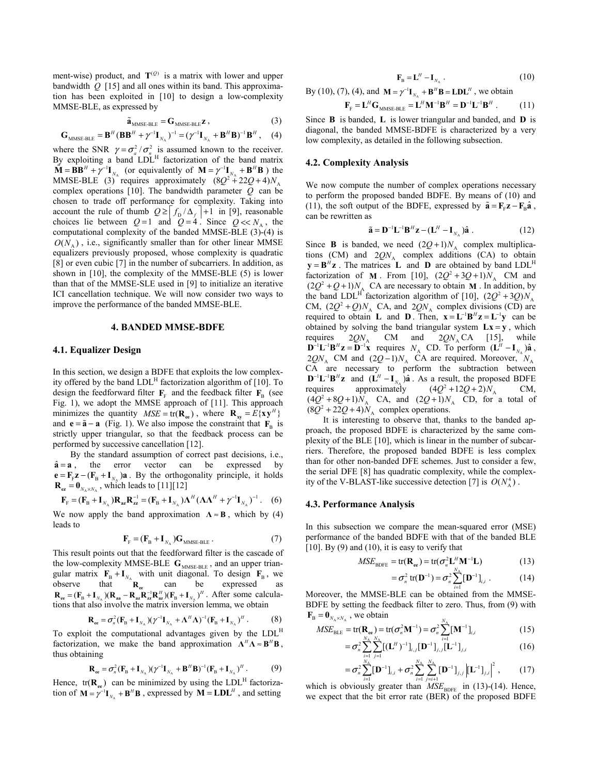ment-wise) product, and  $T^{(Q)}$  is a matrix with lower and upper bandwidth  $\hat{Q}$  [15] and all ones within its band. This approximation has been exploited in [10] to design a low-complexity MMSE-BLE, as expressed by

$$
\tilde{\mathbf{a}}_{MMSE-BLE} = \mathbf{G}_{MMSE-BLE} \mathbf{z} \,, \tag{3}
$$

$$
\mathbf{G}_{\text{MMSE-BLE}} = \mathbf{B}^H (\mathbf{B} \mathbf{B}^H + \gamma^{-1} \mathbf{I}_{N_A})^{-1} = (\gamma^{-1} \mathbf{I}_{N_A} + \mathbf{B}^H \mathbf{B})^{-1} \mathbf{B}^H, \quad (4)
$$

where the SNR  $\gamma = \sigma_a^2 / \sigma_n^2$  is assumed known to the receiver. By exploiting a band  $LDL<sup>H</sup>$  factorization of the band matrix  $\tilde{\mathbf{M}} = \mathbf{B} \mathbf{B}^H + \tilde{\mathbf{\gamma}}^{-1} \mathbf{I}_{N_{\rm A}}$  (or equivalently of  $\mathbf{M} = \tilde{\mathbf{\gamma}}^{-1} \mathbf{I}_{N_{\rm A}} + \mathbf{B}^H \mathbf{B}$ ) the MMSE-BLE (3)<sup> $\degree$ </sup> requires approximately  $(8Q^2 + 22Q + 4)N_A$ complex operations [10]. The bandwidth parameter *Q* can be chosen to trade off performance for complexity. Taking into account the rule of thumb  $Q \ge \left| f_{D} / \Delta_f \right| + 1$  in [9], reasonable choices lie between  $Q=1$  and  $Q=4$ . Since  $Q \ll N_A$ , the computational complexity of the banded MMSE-BLE (3)-(4) is  $O(N_A)$ , i.e., significantly smaller than for other linear MMSE equalizers previously proposed, whose complexity is quadratic [8] or even cubic [7] in the number of subcarriers. In addition, as shown in [10], the complexity of the MMSE-BLE (5) is lower than that of the MMSE-SLE used in [9] to initialize an iterative ICI cancellation technique. We will now consider two ways to improve the performance of the banded MMSE-BLE.

### **4. BANDED MMSE-BDFE**

### **4.1. Equalizer Design**

In this section, we design a BDFE that exploits the low complexity offered by the band  $LDL<sup>H</sup>$  factorization algorithm of [10]. To design the feedforward filter  $\mathbf{F}_F$  and the feedback filter  $\mathbf{F}_B$  (see Fig. 1), we adopt the MMSE approach of [11]. This approach minimizes the quantity  $MSE = \text{tr}(\mathbf{R}_{ee})$ , where  $\mathbf{R}_{xy} = E\{\mathbf{x}\mathbf{y}^H\}$ and **e** =  $\tilde{a}$  − **a** (Fig. 1). We also impose the constraint that **F**<sub>B</sub> is strictly upper triangular, so that the feedback process can be performed by successive cancellation [12].

By the standard assumption of correct past decisions, i.e.,  $\hat{\mathbf{a}} = \mathbf{a}$ , the error vector can be expressed by  ${\bf e} = {\bf F}_{F} {\bf z} - ({\bf F}_{B} + {\bf I}_{N})$  a . By the orthogonality principle, it holds  $\mathbf{R}_{\text{ez}} = \mathbf{0}_{N_{\text{A}} \times N_{\text{A}}}$ , which leads to [11][12]

$$
\mathbf{F}_{\rm F} = (\mathbf{F}_{\rm B} + \mathbf{I}_{N_{\rm A}}) \mathbf{R}_{a\mathbf{z}} \mathbf{R}_{z\mathbf{z}}^{-1} = (\mathbf{F}_{\rm B} + \mathbf{I}_{N_{\rm A}}) \mathbf{\Lambda}^H (\mathbf{\Lambda} \mathbf{\Lambda}^H + \gamma^{-1} \mathbf{I}_{N_{\rm A}})^{-1}.
$$
 (6)

We now apply the band approximation  $\Lambda \approx B$ , which by (4) leads to

$$
\mathbf{F}_{\mathrm{F}} = (\mathbf{F}_{\mathrm{B}} + \mathbf{I}_{N_{\mathrm{A}}}) \mathbf{G}_{\mathrm{MMSE-BLE}}. \tag{7}
$$

This result points out that the feedforward filter is the cascade of the low-complexity MMSE-BLE G<sub>MMSE-BLE</sub>, and an upper triangular matrix  $\mathbf{F}_{\text{B}} + \mathbf{I}_{N_A}$  with unit diagonal. To design  $\mathbf{F}_{\text{B}}$ , we observe that **Ree** can be expressed as  $\mathbf{R}_{ee} = (\mathbf{F}_{B} + \mathbf{I}_{N_A})(\mathbf{R}_{aa} - \mathbf{R}_{az}\mathbf{R}_{zz}^{-1}\mathbf{R}_{az}^{H})(\mathbf{F}_{B} + \mathbf{I}_{N_A})^{H}$ . After some calculations that also involve the matrix inversion lemma, we obtain

$$
\mathbf{R}_{ee} = \sigma_n^2 (\mathbf{F}_B + \mathbf{I}_{N_A})(\gamma^{-1}\mathbf{I}_{N_A} + \mathbf{\Lambda}^H \mathbf{\Lambda})^{-1} (\mathbf{F}_B + \mathbf{I}_{N_A})^H.
$$
 (8)

To exploit the computational advantages given by the LDLH factorization, we make the band approximation  $\Lambda^H \Lambda \approx B^H B$ , thus obtaining

$$
\mathbf{R}_{ee} = \sigma_n^2 (\mathbf{F}_B + \mathbf{I}_{N_A})(\gamma^{-1}\mathbf{I}_{N_A} + \mathbf{B}^H \mathbf{B})^{-1} (\mathbf{F}_B + \mathbf{I}_{N_A})^H.
$$
 (9)

Hence,  $tr(\mathbf{R}_{ee})$  can be minimized by using the LDL<sup>H</sup> factorization of  $M = \gamma^{-1}I_{N_A} + B^H B$ , expressed by  $M = L D L^H$ , and setting

$$
\mathbf{F}_{\mathrm{B}} = \mathbf{L}^{H} - \mathbf{I}_{N_{\mathrm{A}}} \,. \tag{10}
$$

By (10), (7), (4), and  $M = \gamma^{-1}I_{N_A} + B^H B = L D L^H$ , we obtain

$$
\mathbf{F}_{\mathrm{F}} = \mathbf{L}^H \mathbf{G}_{\mathrm{MMSE-BLE}} = \mathbf{L}^H \mathbf{M}^{-1} \mathbf{B}^H = \mathbf{D}^{-1} \mathbf{L}^{-1} \mathbf{B}^H.
$$
 (11)

Since **B** is banded, **L** is lower triangular and banded, and **D** is diagonal, the banded MMSE-BDFE is characterized by a very low complexity, as detailed in the following subsection.

### **4.2. Complexity Analysis**

We now compute the number of complex operations necessary to perform the proposed banded BDFE. By means of (10) and (11), the soft output of the BDFE, expressed by  $\tilde{\mathbf{a}} = \mathbf{F}_{\alpha} \mathbf{z} - \mathbf{F}_{\alpha} \hat{\mathbf{a}}$ , can be rewritten as

$$
\tilde{\mathbf{a}} = \mathbf{D}^{-1} \mathbf{L}^{-1} \mathbf{B}^H \mathbf{z} - (\mathbf{L}^H - \mathbf{I}_{N_A}) \hat{\mathbf{a}} \ . \tag{12}
$$

Since **B** is banded, we need  $(2Q+1)N_A$  complex multiplications (CM) and  $2QN_A$  complex additions (CA) to obtain  $y = B^H z$ . The matrices **L** and **D** are obtained by band LDL<sup>H</sup> factorization of **M**. From [10],  $(2Q^2 + 3Q + 1)N_A$  CM and  $(2Q^2 + Q + 1)N_C$  CA are persence to obtain **M**. In addition by  $(2Q^2 + Q + 1)N_A$  CA are necessary to obtain **M**. In addition, by the band LDL<sup>H</sup> factorization algorithm of [10],  $(2Q^2 + 3Q)N_A$ CM,  $(2Q^2 + Q)N_A$  CA, and  $2QN_A$  complex divisions (CD) are required to obtain **L** and **D**. Then,  $\mathbf{x} = \mathbf{L}^{-1} \mathbf{B}^{H} \mathbf{z} = \mathbf{L}^{-1} \mathbf{y}$  can be obtained by solving the band triangular system  $Lx = y$ , which requires  $2QN_A$  CM and  $2QN_A$  CA [15], while  $D^{-1}L^{-1}B^Hz = D^{-1}x$  requires  $N_A$  CD. To perform  $(L^H - I_{N_A})\hat{a}$ ,  $2QN_A$  CM and  $(2Q-1)N_A$  CA are required. Moreover,  $N_A$ CA are necessary to perform the subtraction between  $D^{-1}L^{-1}B^Hz$  and  $(L^H - I_{N_A})\hat{a}$ . As a result, the proposed BDFE requires approximately  $(4Q^2 + 12Q + 2)N_A$  CM, approximately ires approximately  $(4Q^2+12Q+2)N_A$  CM,<br> $A^2+8Q+1M$ , CA and  $(2Q+1)M$ , CD for a total of  $(4Q^2+8Q+1)N_A$  CA, and  $(2Q+1)N_A$  CD, for a total of  $(8Q^2 + 22Q + 4)N_A$  complex operations.

It is interesting to observe that, thanks to the banded approach, the proposed BDFE is characterized by the same complexity of the BLE [10], which is linear in the number of subcarriers. Therefore, the proposed banded BDFE is less complex than for other non-banded DFE schemes. Just to consider a few, the serial DFE [8] has quadratic complexity, while the complexity of the V-BLAST-like successive detection [7] is  $O(N_A^4)$ .

#### **4.3. Performance Analysis**

In this subsection we compare the mean-squared error (MSE) performance of the banded BDFE with that of the banded BLE [10]. By (9) and (10), it is easy to verify that

$$
MSE_{\text{BDFE}} = \text{tr}(\mathbf{R}_{\text{ee}}) = \text{tr}(\sigma_n^2 \mathbf{L}^H \mathbf{M}^{-1} \mathbf{L})
$$
 (13)

$$
= \sigma_n^2 \text{ tr}(\mathbf{D}^{-1}) = \sigma_n^2 \sum_{i=1}^{N_A} [\mathbf{D}^{-1}]_{i,i} . \qquad (14)
$$

Moreover, the MMSE-BLE can be obtained from the MMSE-BDFE by setting the feedback filter to zero. Thus, from (9) with  $\mathbf{F}_{\text{B}} = \mathbf{0}_{N, xN}$ , we obtain

$$
MSE_{\text{BLE}} = \text{tr}(\mathbf{R}_{\text{ee}}) = \text{tr}(\sigma_n^2 \mathbf{M}^{-1}) = \sigma_n^2 \sum_{i=1}^{N_A} [\mathbf{M}^{-1}]_{i,i}
$$
(15)

$$
= \sigma_n^2 \sum_{\substack{i=1\\j\neq j}}^{N_A} \sum_{j=1}^{N_A} [(\mathbf{L}^H)^{-1}]_{i,j} [\mathbf{D}^{-1}]_{j,j} [\mathbf{L}^{-1}]_{j,i}
$$
(16)

$$
= \sigma_n^2 \sum_{i=1}^{N_A} [\mathbf{D}^{-1}]_{i,i} + \sigma_n^2 \sum_{i=1}^{N_A} \sum_{j=i+1}^{N_A} [\mathbf{D}^{-1}]_{j,i} |^2, \qquad (17)
$$

which is obviously greater than  $MSE<sub>BDEE</sub>$  in (13)-(14). Hence, we expect that the bit error rate (BER) of the proposed BDFE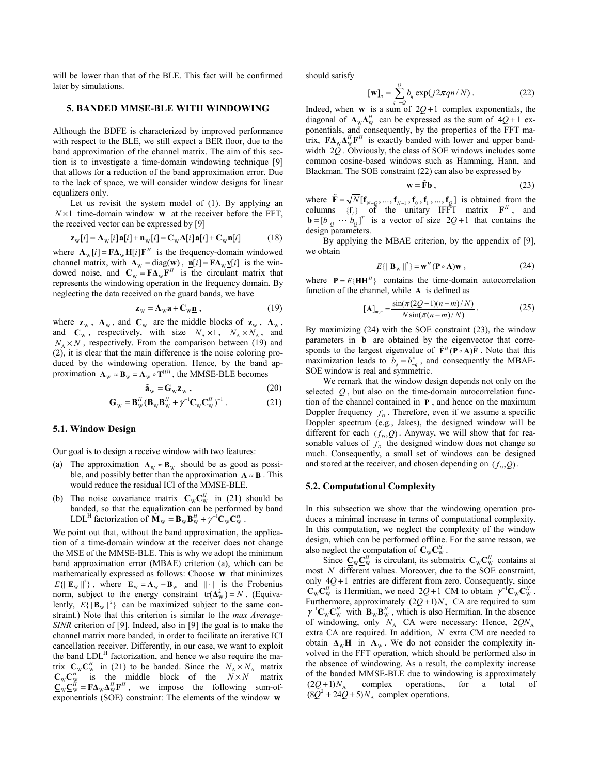will be lower than that of the BLE. This fact will be confirmed later by simulations.

## **5. BANDED MMSE-BLE WITH WINDOWING**

Although the BDFE is characterized by improved performance with respect to the BLE, we still expect a BER floor, due to the band approximation of the channel matrix. The aim of this section is to investigate a time-domain windowing technique [9] that allows for a reduction of the band approximation error. Due to the lack of space, we will consider window designs for linear equalizers only.

Let us revisit the system model of (1). By applying an  $N \times 1$  time-domain window **w** at the receiver before the FFT, the received vector can be expressed by [9]

$$
\underline{\mathbf{z}}_{\mathbf{w}}[i] = \underline{\mathbf{\Lambda}}_{\mathbf{w}}[i]\underline{\mathbf{a}}[i] + \underline{\mathbf{n}}_{\mathbf{w}}[i] = \underline{\mathbf{C}}_{\mathbf{w}}\underline{\mathbf{\Lambda}}[i]\underline{\mathbf{a}}[i] + \underline{\mathbf{C}}_{\mathbf{w}}\underline{\mathbf{n}}[i] \tag{18}
$$

where  $\underline{\mathbf{\Lambda}}_{\mathbf{w}}[i] = \mathbf{F} \underline{\mathbf{\Lambda}}_{\mathbf{w}} \underline{\mathbf{H}}[i] \mathbf{F}^H$  is the frequency-domain windowed channel matrix, with  $\Delta_W = \text{diag}(\mathbf{w})$ ,  $\mathbf{n}[i] = \mathbf{F} \Delta_W \mathbf{v}[i]$  is the windowed noise, and  $C_w = F \Delta_w F^H$  is the circulant matrix that represents the windowing operation in the frequency domain. By neglecting the data received on the guard bands, we have

$$
\mathbf{z}_{\mathrm{w}} = \mathbf{\Lambda}_{\mathrm{w}} \mathbf{a} + \mathbf{C}_{\mathrm{w}} \underline{\mathbf{n}} \,, \tag{19}
$$

where  $z_w$ ,  $\Lambda_w$ , and  $C_w$  are the middle blocks of  $\underline{z}_w$ ,  $\underline{\Lambda}_w$ , and  $C_w$ , respectively, with size  $N_A \times 1$ ,  $N_A \times N_A$ , and  $N_A \times N$ , respectively. From the comparison between (19) and (2), it is clear that the main difference is the noise coloring produced by the windowing operation. Hence, by the band approximation  $\Lambda_w \approx B_w = \Lambda_w \circ T^{(Q)}$ , the MMSE-BLE becomes

$$
\tilde{\mathbf{a}}_{\mathrm{w}} = \mathbf{G}_{\mathrm{w}} \mathbf{z}_{\mathrm{w}} ,\qquad(20)
$$

$$
\mathbf{G}_{\mathrm{W}} = \mathbf{B}_{\mathrm{W}}^{H} (\mathbf{B}_{\mathrm{W}} \mathbf{B}_{\mathrm{W}}^{H} + \gamma^{-1} \mathbf{C}_{\mathrm{W}} \mathbf{C}_{\mathrm{W}}^{H})^{-1} . \qquad (21)
$$

## **5.1. Window Design**

Our goal is to design a receive window with two features:

- (a) The approximation  $\Lambda_w \approx \mathbf{B}_w$  should be as good as possible, and possibly better than the approximation **Λ** ≈ **B** . This would reduce the residual ICI of the MMSE-BLE.
- (b) The noise covariance matrix  $C_w C_w^H$  in (21) should be banded, so that the equalization can be performed by band LDL<sup>H</sup> factorization of  $\mathbf{\tilde{M}}_{\text{W}} = \mathbf{B}_{\text{W}} \mathbf{B}_{\text{W}}^H + \gamma^{-1} \mathbf{C}_{\text{W}} \mathbf{C}_{\text{W}}^H$ .

We point out that, without the band approximation, the application of a time-domain window at the receiver does not change the MSE of the MMSE-BLE. This is why we adopt the minimum band approximation error (MBAE) criterion (a), which can be mathematically expressed as follows: Choose **w** that minimizes  $E\{\|\mathbf{E}_{w}\|^{2}\}$ , where  $\mathbf{E}_{w} = \mathbf{\Lambda}_{w} - \mathbf{B}_{w}$  and  $\|\cdot\|$  is the Frobenius norm, subject to the energy constraint  $tr(\Delta_w^2) = N$ . (Equivalently,  $E\{\|\mathbf{B}_{w}\|^2\}$  can be maximized subject to the same constraint.) Note that this criterion is similar to the *max Average-SINR* criterion of [9]. Indeed, also in [9] the goal is to make the channel matrix more banded, in order to facilitate an iterative ICI cancellation receiver. Differently, in our case, we want to exploit the band  $LDL<sup>H</sup>$  factorization, and hence we also require the matrix  $C_w C_w^H$  in (21) to be banded. Since the  $N_A \times N_A$  matrix  $\mathbf{C}_{\mathbf{W}} \mathbf{C}_{\mathbf{W}}^H$  is the middle block of the  $N \times N$  matrix  $\mathbf{C}_{\mathbf{W}}\mathbf{C}_{\mathbf{W}}^H = \mathbf{F}\mathbf{\Delta}_{\mathbf{W}}\mathbf{\Delta}_{\mathbf{W}}^H\mathbf{F}^H$ , we impose the following sum-ofexponentials (SOE) constraint: The elements of the window **w**

should satisfy

$$
[\mathbf{w}]_n = \sum_{q=-O}^{O} b_q \exp(j2\pi qn/N) \,. \tag{22}
$$

Indeed, when **w** is a sum of  $2Q + 1$  complex exponentials, the diagonal of  $\Delta_{\rm w} \Delta_{\rm w}^H$  can be expressed as the sum of  $4Q+1$  exponentials, and consequently, by the properties of the FFT matrix,  $\mathbf{F}\mathbf{\Delta}_{\mathbf{W}}\mathbf{\Delta}_{\mathbf{W}}^H\mathbf{F}^H$  is exactly banded with lower and upper bandwidth 2*Q* . Obviously, the class of SOE windows includes some common cosine-based windows such as Hamming, Hann, and Blackman. The SOE constraint (22) can also be expressed by

$$
\mathbf{w} = \tilde{\mathbf{F}} \mathbf{b} \,, \tag{23}
$$

where  $\tilde{\mathbf{F}} = \sqrt{N} [\mathbf{f}_{N-Q}, ..., \mathbf{f}_{N-1}, \mathbf{f}_0, \mathbf{f}_1, ..., \mathbf{f}_Q]$  is obtained from the columns  ${f_i}$  of the unitary IFFT matrix  $F^H$ , and  $\mathbf{b} = [b_{\text{o}} \cdots b_{\text{o}}]^T$  is a vector of size  $2Q + 1$  that contains the design parameters.

By applying the MBAE criterion, by the appendix of [9], we obtain

$$
E\{\|\mathbf{B}_{\mathbf{w}}\|^2\} = \mathbf{w}^H(\mathbf{P} \circ \mathbf{A})\mathbf{w},\tag{24}
$$

where  ${\bf P} = E\{HH^H\}$  contains the time-domain autocorrelation function of the channel, while **A** is defined as

$$
[\mathbf{A}]_{m,n} = \frac{\sin(\pi(2Q+1)(n-m)/N)}{N\sin(\pi(n-m)/N)}.
$$
 (25)

By maximizing (24) with the SOE constraint (23), the window parameters in **b** are obtained by the eigenvector that corresponds to the largest eigenvalue of  $\tilde{F}^H(P \circ A)\tilde{F}$ . Note that this maximization leads to  $b_q = b_{-q}^*$ , and consequently the MBAE-SOE window is real and symmetric.

We remark that the window design depends not only on the selected *Q* , but also on the time-domain autocorrelation function of the channel contained in **Ρ** , and hence on the maximum Doppler frequency  $f<sub>D</sub>$ . Therefore, even if we assume a specific Doppler spectrum (e.g., Jakes), the designed window will be different for each  $(f_D, Q)$ . Anyway, we will show that for reasonable values of  $f<sub>D</sub>$  the designed window does not change so much. Consequently, a small set of windows can be designed and stored at the receiver, and chosen depending on  $(f_D, Q)$ .

### **5.2. Computational Complexity**

In this subsection we show that the windowing operation produces a minimal increase in terms of computational complexity. In this computation, we neglect the complexity of the window design, which can be performed offline. For the same reason, we also neglect the computation of  $C_w C_w^H$ .

Since  $\underline{\mathbf{C}}_{\mathbf{W}}\underline{\mathbf{C}}_{\mathbf{W}}^H$  is circulant, its submatrix  $\mathbf{C}_{\mathbf{W}}\mathbf{C}_{\mathbf{W}}^H$  contains at most *N* different values. Moreover, due to the SOE constraint, only  $40 + 1$  entries are different from zero. Consequently, since  $\mathbf{C}_{\mathbf{W}} \mathbf{C}_{\mathbf{W}}^H$  is Hermitian, we need  $2Q + 1$  CM to obtain  $\gamma^{-1} \mathbf{C}_{\mathbf{W}} \mathbf{C}_{\mathbf{W}}^H$ . Furthermore, approximately  $(2Q+1)N_A$  CA are required to sum  $\gamma^{-1}C_{\rm w}C_{\rm w}^H$  with  $\mathbf{B}_{\rm w}\mathbf{B}_{\rm w}^H$ , which is also Hermitian. In the absence of windowing, only  $N_A$  CA were necessary: Hence,  $2QN_A$ extra CA are required. In addition, *N* extra CM are needed to obtain  $\Delta_{\text{W}}\mathbf{H}$  in  $\Delta_{\text{W}}$ . We do not consider the complexity involved in the FFT operation, which should be performed also in the absence of windowing. As a result, the complexity increase of the banded MMSE-BLE due to windowing is approximately  $(2Q+1)N_A$  complex operations, for a total of  $(8Q^2+24Q+5)N_A$  complex operations.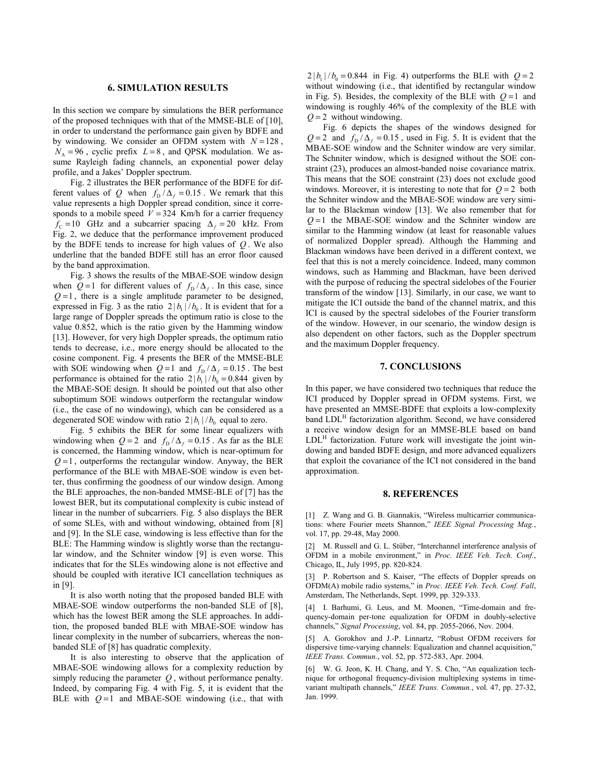### **6. SIMULATION RESULTS**

In this section we compare by simulations the BER performance of the proposed techniques with that of the MMSE-BLE of [10], in order to understand the performance gain given by BDFE and by windowing. We consider an OFDM system with  $N = 128$ ,  $N_A = 96$ , cyclic prefix  $L = 8$ , and QPSK modulation. We assume Rayleigh fading channels, an exponential power delay profile, and a Jakes' Doppler spectrum.

Fig. 2 illustrates the BER performance of the BDFE for different values of *Q* when  $f_D / \Delta_f = 0.15$ . We remark that this value represents a high Doppler spread condition, since it corresponds to a mobile speed  $V = 324$  Km/h for a carrier frequency  $f_c = 10$  GHz and a subcarrier spacing  $\Delta_f = 20$  kHz. From Fig. 2, we deduce that the performance improvement produced by the BDFE tends to increase for high values of *Q* . We also underline that the banded BDFE still has an error floor caused by the band approximation.

Fig. 3 shows the results of the MBAE-SOE window design when  $Q=1$  for different values of  $f_D / \Delta_f$ . In this case, since  $Q=1$ , there is a single amplitude parameter to be designed, expressed in Fig. 3 as the ratio  $2 |b_1| / b_0$ . It is evident that for a large range of Doppler spreads the optimum ratio is close to the value 0.852, which is the ratio given by the Hamming window [13]. However, for very high Doppler spreads, the optimum ratio tends to decrease, i.e., more energy should be allocated to the cosine component. Fig. 4 presents the BER of the MMSE-BLE with SOE windowing when  $Q = 1$  and  $f_D / \Delta_f = 0.15$ . The best performance is obtained for the ratio  $2 | b_1 | / b_0 = 0.844$  given by the MBAE-SOE design. It should be pointed out that also other suboptimum SOE windows outperform the rectangular window (i.e., the case of no windowing), which can be considered as a degenerated SOE window with ratio  $2 |b_1| / b_0$  equal to zero.

Fig. 5 exhibits the BER for some linear equalizers with windowing when  $Q = 2$  and  $f_D / \Delta_f = 0.15$ . As far as the BLE is concerned, the Hamming window, which is near-optimum for  $Q=1$ , outperforms the rectangular window. Anyway, the BER performance of the BLE with MBAE-SOE window is even better, thus confirming the goodness of our window design. Among the BLE approaches, the non-banded MMSE-BLE of [7] has the lowest BER, but its computational complexity is cubic instead of linear in the number of subcarriers. Fig. 5 also displays the BER of some SLEs, with and without windowing, obtained from [8] and [9]. In the SLE case, windowing is less effective than for the BLE: The Hamming window is slightly worse than the rectangular window, and the Schniter window [9] is even worse. This indicates that for the SLEs windowing alone is not effective and should be coupled with iterative ICI cancellation techniques as in [9].

It is also worth noting that the proposed banded BLE with MBAE-SOE window outperforms the non-banded SLE of [8], which has the lowest BER among the SLE approaches. In addition, the proposed banded BLE with MBAE-SOE window has linear complexity in the number of subcarriers, whereas the nonbanded SLE of [8] has quadratic complexity.

It is also interesting to observe that the application of MBAE-SOE windowing allows for a complexity reduction by simply reducing the parameter *Q* , without performance penalty. Indeed, by comparing Fig. 4 with Fig. 5, it is evident that the BLE with  $Q=1$  and MBAE-SOE windowing (i.e., that with

 $2 |b_1| / b_0 = 0.844$  in Fig. 4) outperforms the BLE with  $Q = 2$ without windowing (i.e., that identified by rectangular window in Fig. 5). Besides, the complexity of the BLE with  $Q=1$  and windowing is roughly 46% of the complexity of the BLE with  $Q = 2$  without windowing.

Fig. 6 depicts the shapes of the windows designed for  $Q = 2$  and  $f_D / \Delta_f = 0.15$ , used in Fig. 5. It is evident that the MBAE-SOE window and the Schniter window are very similar. The Schniter window, which is designed without the SOE constraint (23), produces an almost-banded noise covariance matrix. This means that the SOE constraint (23) does not exclude good windows. Moreover, it is interesting to note that for  $Q = 2$  both the Schniter window and the MBAE-SOE window are very similar to the Blackman window [13]. We also remember that for  $Q = 1$  the MBAE-SOE window and the Schniter window are similar to the Hamming window (at least for reasonable values of normalized Doppler spread). Although the Hamming and Blackman windows have been derived in a different context, we feel that this is not a merely coincidence. Indeed, many common windows, such as Hamming and Blackman, have been derived with the purpose of reducing the spectral sidelobes of the Fourier transform of the window [13]. Similarly, in our case, we want to mitigate the ICI outside the band of the channel matrix, and this ICI is caused by the spectral sidelobes of the Fourier transform of the window. However, in our scenario, the window design is also dependent on other factors, such as the Doppler spectrum and the maximum Doppler frequency.

## **7. CONCLUSIONS**

In this paper, we have considered two techniques that reduce the ICI produced by Doppler spread in OFDM systems. First, we have presented an MMSE-BDFE that exploits a low-complexity band LDL<sup>H</sup> factorization algorithm. Second, we have considered a receive window design for an MMSE-BLE based on band  $LDL<sup>H</sup>$  factorization. Future work will investigate the joint windowing and banded BDFE design, and more advanced equalizers that exploit the covariance of the ICI not considered in the band approximation.

#### **8. REFERENCES**

[1] Z. Wang and G. B. Giannakis, "Wireless multicarrier communications: where Fourier meets Shannon," IEEE Signal Processing Mag., vol. 17, pp. 29-48, May 2000.

[2] M. Russell and G. L. Stüber, "Interchannel interference analysis of OFDM in a mobile environment," in *Proc. IEEE Veh. Tech. Conf.*, Chicago, IL, July 1995, pp. 820-824.

[3] P. Robertson and S. Kaiser, "The effects of Doppler spreads on OFDM(A) mobile radio systems," in *Proc. IEEE Veh. Tech. Conf. Fall*, Amsterdam, The Netherlands, Sept. 1999, pp. 329-333.

[4] I. Barhumi, G. Leus, and M. Moonen, "Time-domain and frequency-domain per-tone equalization for OFDM in doubly-selective channels,î *Signal Processing*, vol. 84, pp. 2055-2066, Nov. 2004.

[5] A. Gorokhov and J.-P. Linnartz, "Robust OFDM receivers for dispersive time-varying channels: Equalization and channel acquisition," *IEEE Trans. Commun.*, vol. 52, pp. 572-583, Apr. 2004.

[6] W. G. Jeon, K. H. Chang, and Y. S. Cho, "An equalization technique for orthogonal frequency-division multiplexing systems in timevariant multipath channels," IEEE Trans. Commun., vol. 47, pp. 27-32, Jan. 1999.